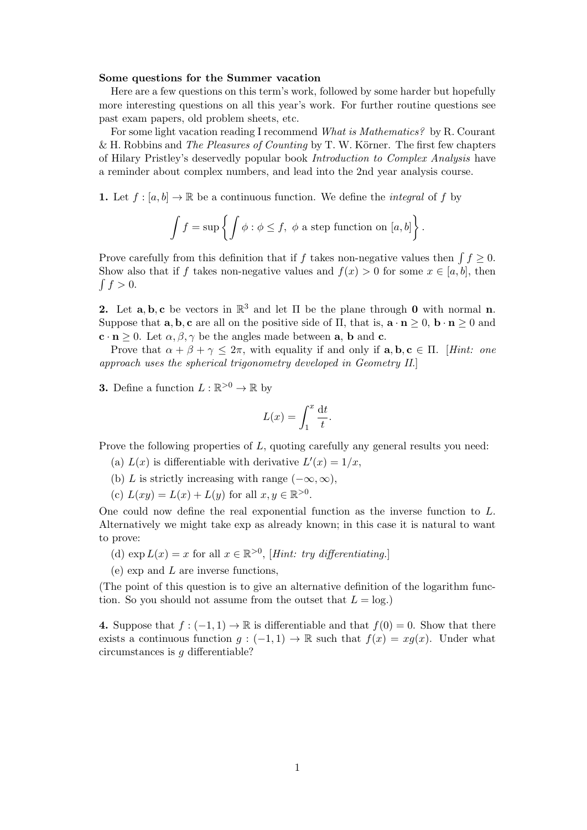## Some questions for the Summer vacation

Here are a few questions on this term's work, followed by some harder but hopefully more interesting questions on all this year's work. For further routine questions see past exam papers, old problem sheets, etc.

For some light vacation reading I recommend What is Mathematics? by R. Courant & H. Robbins and The Pleasures of Counting by T. W. Körner. The first few chapters of Hilary Pristley's deservedly popular book Introduction to Complex Analysis have a reminder about complex numbers, and lead into the 2nd year analysis course.

1. Let  $f : [a, b] \to \mathbb{R}$  be a continuous function. We define the *integral* of f by

$$
\int f = \sup \left\{ \int \phi : \phi \le f, \phi \text{ a step function on } [a, b] \right\}.
$$

Prove carefully from this definition that if f takes non-negative values then  $\int f \geq 0$ . Show also that if f takes non-negative values and  $f(x) > 0$  for some  $x \in [a, b]$ , then  $\int f > 0$ .

2. Let  $\mathbf{a}, \mathbf{b}, \mathbf{c}$  be vectors in  $\mathbb{R}^3$  and let  $\Pi$  be the plane through 0 with normal n. Suppose that  $\mathbf{a}, \mathbf{b}, \mathbf{c}$  are all on the positive side of  $\Pi$ , that is,  $\mathbf{a} \cdot \mathbf{n} > 0$ ,  $\mathbf{b} \cdot \mathbf{n} > 0$  and  $\mathbf{c} \cdot \mathbf{n} \geq 0$ . Let  $\alpha, \beta, \gamma$  be the angles made between **a**, **b** and **c**.

Prove that  $\alpha + \beta + \gamma \leq 2\pi$ , with equality if and only if  $\mathbf{a}, \mathbf{b}, \mathbf{c} \in \Pi$ . [Hint: one approach uses the spherical trigonometry developed in Geometry II.]

**3.** Define a function  $L : \mathbb{R}^{>0} \to \mathbb{R}$  by

$$
L(x) = \int_1^x \frac{\mathrm{d}t}{t}.
$$

Prove the following properties of L, quoting carefully any general results you need:

- (a)  $L(x)$  is differentiable with derivative  $L'(x) = 1/x$ ,
- (b) L is strictly increasing with range  $(-\infty, \infty)$ ,
- (c)  $L(xy) = L(x) + L(y)$  for all  $x, y \in \mathbb{R}^{>0}$ .

One could now define the real exponential function as the inverse function to L. Alternatively we might take exp as already known; in this case it is natural to want to prove:

- (d)  $\exp L(x) = x$  for all  $x \in \mathbb{R}^{>0}$ , [Hint: try differentiating.]
- (e) exp and L are inverse functions,

(The point of this question is to give an alternative definition of the logarithm function. So you should not assume from the outset that  $L = \log$ .

4. Suppose that  $f: (-1, 1) \to \mathbb{R}$  is differentiable and that  $f(0) = 0$ . Show that there exists a continuous function  $g: (-1,1) \to \mathbb{R}$  such that  $f(x) = xg(x)$ . Under what circumstances is  $q$  differentiable?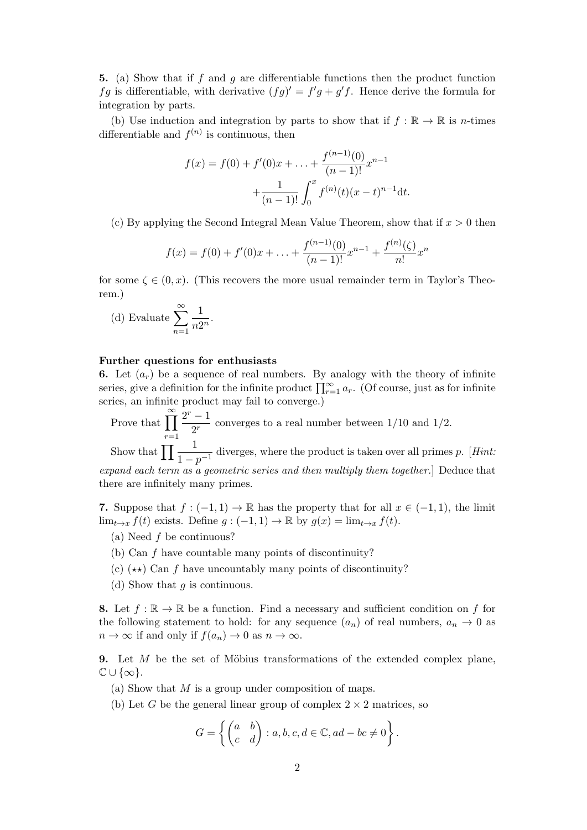5. (a) Show that if f and g are differentiable functions then the product function fg is differentiable, with derivative  $(fg)' = f'g + g'f$ . Hence derive the formula for integration by parts.

(b) Use induction and integration by parts to show that if  $f : \mathbb{R} \to \mathbb{R}$  is *n*-times differentiable and  $f^{(n)}$  is continuous, then

$$
f(x) = f(0) + f'(0)x + \dots + \frac{f^{(n-1)}(0)}{(n-1)!}x^{n-1} + \frac{1}{(n-1)!} \int_0^x f^{(n)}(t)(x-t)^{n-1}dt.
$$

(c) By applying the Second Integral Mean Value Theorem, show that if  $x > 0$  then

$$
f(x) = f(0) + f'(0)x + \ldots + \frac{f^{(n-1)}(0)}{(n-1)!}x^{n-1} + \frac{f^{(n)}(\zeta)}{n!}x^n
$$

for some  $\zeta \in (0, x)$ . (This recovers the more usual remainder term in Taylor's Theorem.)

(d) Evaluate 
$$
\sum_{n=1}^{\infty} \frac{1}{n2^n}.
$$

## Further questions for enthusiasts

6. Let  $(a_r)$  be a sequence of real numbers. By analogy with the theory of infinite series, give a definition for the infinite product  $\prod_{r=1}^{\infty} a_r$ . (Of course, just as for infinite series, an infinite product may fail to converge.)

Prove that  $\prod^{\infty}$  $r=1$  $2^r - 1$  $\frac{1}{2^{r}}$  converges to a real number between 1/10 and 1/2. Show that  $\prod \frac{1}{1-p^{-1}}$  diverges, where the product is taken over all primes p. [Hint: expand each term as a geometric series and then multiply them together.] Deduce that there are infinitely many primes.

7. Suppose that  $f: (-1,1) \to \mathbb{R}$  has the property that for all  $x \in (-1,1)$ , the limit  $\lim_{t\to x} f(t)$  exists. Define  $g: (-1,1) \to \mathbb{R}$  by  $g(x) = \lim_{t\to x} f(t)$ .

(a) Need  $f$  be continuous?

- (b) Can f have countable many points of discontinuity?
- (c)  $(\star \star)$  Can f have uncountably many points of discontinuity?
- (d) Show that  $q$  is continuous.

8. Let  $f : \mathbb{R} \to \mathbb{R}$  be a function. Find a necessary and sufficient condition on f for the following statement to hold: for any sequence  $(a_n)$  of real numbers,  $a_n \to 0$  as  $n \to \infty$  if and only if  $f(a_n) \to 0$  as  $n \to \infty$ .

9. Let  $M$  be the set of Möbius transformations of the extended complex plane,  $\mathbb{C} \cup \{\infty\}.$ 

- (a) Show that  $M$  is a group under composition of maps.
- (b) Let G be the general linear group of complex  $2 \times 2$  matrices, so

$$
G = \left\{ \begin{pmatrix} a & b \\ c & d \end{pmatrix} : a, b, c, d \in \mathbb{C}, ad - bc \neq 0 \right\}.
$$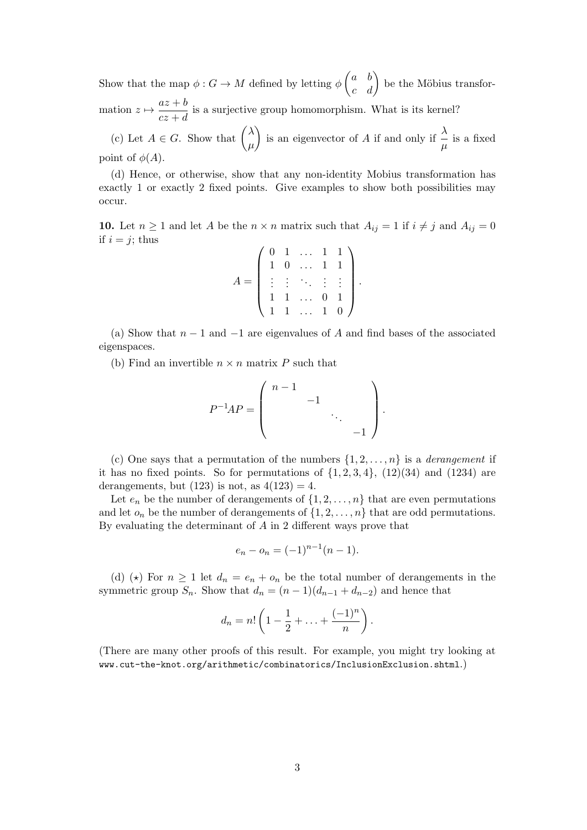Show that the map  $\phi: G \to M$  defined by letting  $\phi \begin{pmatrix} a & b \\ c & d \end{pmatrix}$  be the Möbius transformation  $z \mapsto \frac{az + b}{z}$  $\frac{dz}{dz+d}$  is a surjective group homomorphism. What is its kernel? (c) Let  $A \in G$ . Show that  $\begin{pmatrix} \lambda & \lambda \\ \lambda & \lambda & \lambda \\ \end{pmatrix}$  $\mu$ ) is an eigenvector of A if and only if  $\frac{\lambda}{\mu}$  is a fixed

point of  $\phi(A)$ .

(d) Hence, or otherwise, show that any non-identity Mobius transformation has exactly 1 or exactly 2 fixed points. Give examples to show both possibilities may occur.

10. Let  $n \geq 1$  and let A be the  $n \times n$  matrix such that  $A_{ij} = 1$  if  $i \neq j$  and  $A_{ij} = 0$ if  $i = j$ ; thus

|     |              |                | $0 \quad 1 \quad \dots \quad 1$ |              | $\mathbf{1}$ |  |
|-----|--------------|----------------|---------------------------------|--------------|--------------|--|
|     | $\mathbf{1}$ | $\overline{0}$ | $\mathbf{r}$                    | $\mathbf{1}$ |              |  |
| $=$ |              |                | <b>Fig. 7</b>                   |              |              |  |
|     |              |                | $\langle \cdot \rangle_{\rm c}$ | 0            |              |  |
|     |              |                | $\overline{\mathcal{A}}$ .      |              |              |  |

(a) Show that  $n-1$  and  $-1$  are eigenvalues of A and find bases of the associated eigenspaces.

(b) Find an invertible  $n \times n$  matrix P such that

$$
P^{-1}AP = \left( \begin{array}{cccc} n-1 & & & \\ & -1 & & \\ & & \ddots & \\ & & & -1 \end{array} \right).
$$

(c) One says that a permutation of the numbers  $\{1, 2, \ldots, n\}$  is a *derangement* if it has no fixed points. So for permutations of  $\{1, 2, 3, 4\}$ ,  $(12)(34)$  and  $(1234)$  are derangements, but  $(123)$  is not, as  $4(123) = 4$ .

Let  $e_n$  be the number of derangements of  $\{1, 2, \ldots, n\}$  that are even permutations and let  $o_n$  be the number of derangements of  $\{1, 2, \ldots, n\}$  that are odd permutations. By evaluating the determinant of  $A$  in 2 different ways prove that

$$
e_n - o_n = (-1)^{n-1}(n-1).
$$

(d) ( $\star$ ) For  $n \geq 1$  let  $d_n = e_n + o_n$  be the total number of derangements in the symmetric group  $S_n$ . Show that  $d_n = (n-1)(d_{n-1} + d_{n-2})$  and hence that

$$
d_n=n!\left(1-\frac{1}{2}+\ldots+\frac{(-1)^n}{n}\right).
$$

(There are many other proofs of this result. For example, you might try looking at www.cut-the-knot.org/arithmetic/combinatorics/InclusionExclusion.shtml.)